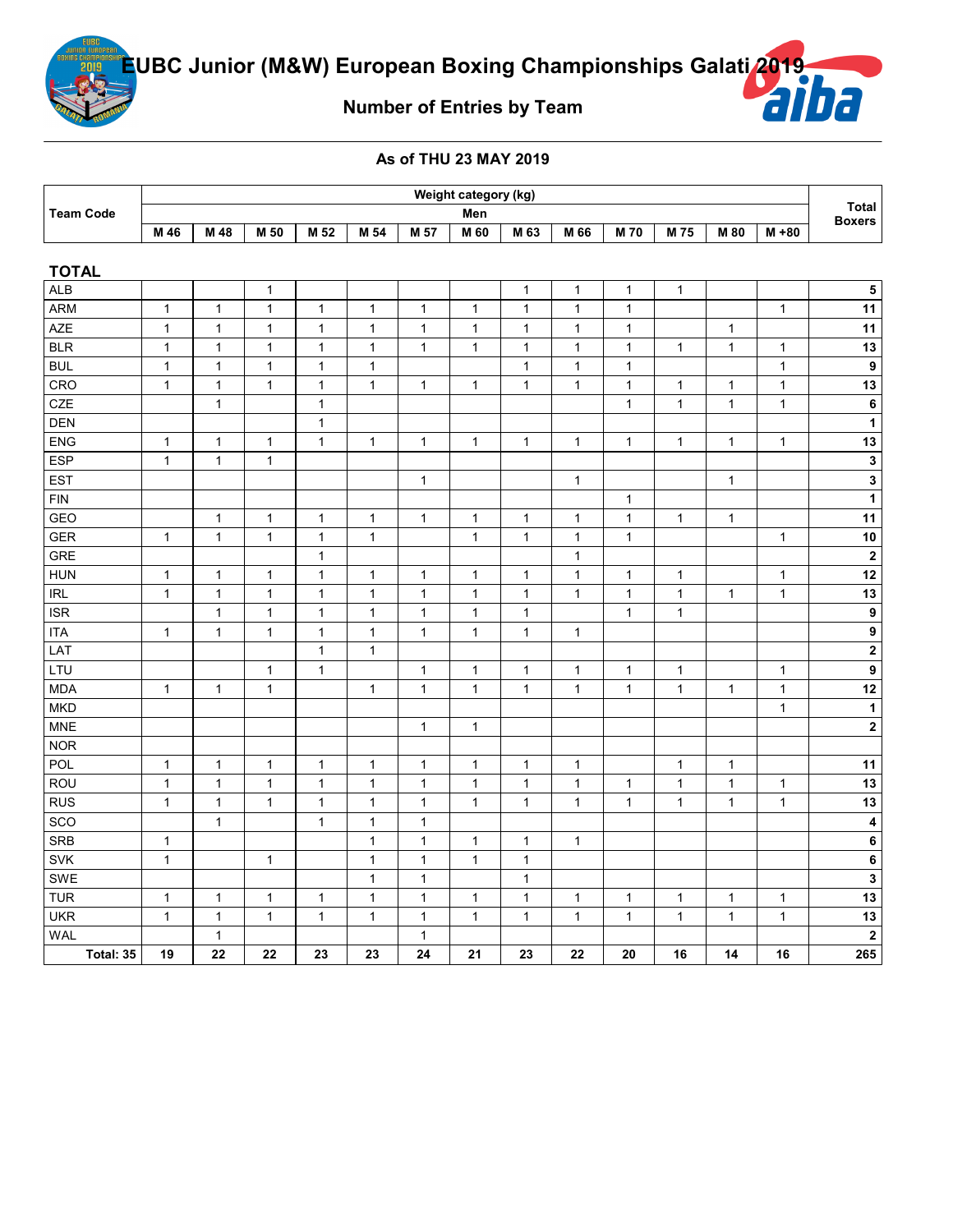

**Number of Entries by Team**

## **As of THU 23 MAY 2019**

|             | Weight category (kg) |      |      |      |      |      |      |      |      |            |      |      |       |                        |
|-------------|----------------------|------|------|------|------|------|------|------|------|------------|------|------|-------|------------------------|
| ∣ Team Code |                      | Men  |      |      |      |      |      |      |      |            |      |      |       | Total<br><b>Boxers</b> |
|             | M 46                 | M 48 | M 50 | M 52 | M 54 | M 57 | M 60 | M 63 | M 66 | <b>M70</b> | M 75 | M 80 | M +80 |                        |

| <b>TOTAL</b> |              |              |              |              |              |              |              |              |              |              |              |              |              |                         |
|--------------|--------------|--------------|--------------|--------------|--------------|--------------|--------------|--------------|--------------|--------------|--------------|--------------|--------------|-------------------------|
| <b>ALB</b>   |              |              | $\mathbf{1}$ |              |              |              |              | $\mathbf{1}$ | $\mathbf{1}$ | $\mathbf{1}$ | $\mathbf{1}$ |              |              | ${\bf 5}$               |
| <b>ARM</b>   | $\mathbf{1}$ | $\mathbf{1}$ | $\mathbf{1}$ | $\mathbf{1}$ | $\mathbf{1}$ | $\mathbf{1}$ | 1            | $\mathbf{1}$ | $\mathbf{1}$ | $\mathbf{1}$ |              |              | $\mathbf{1}$ | 11                      |
| <b>AZE</b>   | $\mathbf{1}$ | $\mathbf{1}$ | $\mathbf{1}$ | $\mathbf{1}$ | $\mathbf{1}$ | $\mathbf{1}$ | $\mathbf{1}$ | $\mathbf{1}$ | $\mathbf{1}$ | $\mathbf{1}$ |              | $\mathbf{1}$ |              | 11                      |
| <b>BLR</b>   | $\mathbf{1}$ | $\mathbf{1}$ | $\mathbf{1}$ | $\mathbf{1}$ | $\mathbf{1}$ | $\mathbf{1}$ | $\mathbf{1}$ | $\mathbf{1}$ | $\mathbf{1}$ | $\mathbf{1}$ | $\mathbf{1}$ | $\mathbf{1}$ | $\mathbf{1}$ | 13                      |
| <b>BUL</b>   | $\mathbf{1}$ | $\mathbf{1}$ | $\mathbf{1}$ | $\mathbf{1}$ | $\mathbf{1}$ |              |              | $\mathbf{1}$ | $\mathbf{1}$ | $\mathbf{1}$ |              |              | $\mathbf{1}$ | $\boldsymbol{9}$        |
| CRO          | $\mathbf{1}$ | $\mathbf{1}$ | $\mathbf{1}$ | $\mathbf{1}$ | $\mathbf{1}$ | $\mathbf{1}$ | $\mathbf{1}$ | $\mathbf{1}$ | $\mathbf{1}$ | $\mathbf{1}$ | $\mathbf{1}$ | $\mathbf{1}$ | $\mathbf{1}$ | 13                      |
| CZE          |              | $\mathbf{1}$ |              | $\mathbf{1}$ |              |              |              |              |              | $\mathbf{1}$ | $\mathbf{1}$ | $\mathbf{1}$ | $\mathbf{1}$ | $\bf 6$                 |
| <b>DEN</b>   |              |              |              | $\mathbf{1}$ |              |              |              |              |              |              |              |              |              | $\mathbf{1}$            |
| ENG          | $\mathbf{1}$ | $\mathbf{1}$ | $\mathbf{1}$ | $\mathbf{1}$ | $\mathbf{1}$ | $\mathbf{1}$ | $\mathbf{1}$ | $\mathbf{1}$ | $\mathbf{1}$ | $\mathbf{1}$ | $\mathbf{1}$ | $\mathbf{1}$ | $\mathbf{1}$ | 13                      |
| <b>ESP</b>   | $\mathbf{1}$ | $\mathbf{1}$ | $\mathbf{1}$ |              |              |              |              |              |              |              |              |              |              | $\mathbf 3$             |
| <b>EST</b>   |              |              |              |              |              | $\mathbf{1}$ |              |              | $\mathbf{1}$ |              |              | $\mathbf{1}$ |              | $\mathbf{3}$            |
| <b>FIN</b>   |              |              |              |              |              |              |              |              |              | $\mathbf{1}$ |              |              |              | $\mathbf{1}$            |
| GEO          |              | $\mathbf{1}$ | $\mathbf{1}$ | $\mathbf{1}$ | $\mathbf{1}$ | $\mathbf{1}$ | $\mathbf{1}$ | $\mathbf{1}$ | $\mathbf{1}$ | $\mathbf{1}$ | $\mathbf{1}$ | $\mathbf{1}$ |              | 11                      |
| <b>GER</b>   | $\mathbf{1}$ | $\mathbf{1}$ | $\mathbf{1}$ | $\mathbf{1}$ | $\mathbf{1}$ |              | $\mathbf{1}$ | $\mathbf{1}$ | $\mathbf{1}$ | $\mathbf{1}$ |              |              | $\mathbf{1}$ | 10                      |
| <b>GRE</b>   |              |              |              | $\mathbf{1}$ |              |              |              |              | $\mathbf{1}$ |              |              |              |              | $\mathbf 2$             |
| <b>HUN</b>   | 1            | $\mathbf{1}$ | $\mathbf{1}$ | $\mathbf{1}$ | $\mathbf{1}$ | $\mathbf{1}$ | $\mathbf{1}$ | $\mathbf{1}$ | $\mathbf{1}$ | $\mathbf{1}$ | $\mathbf{1}$ |              | $\mathbf{1}$ | 12                      |
| <b>IRL</b>   | $\mathbf{1}$ | $\mathbf{1}$ | $\mathbf{1}$ | $\mathbf{1}$ | $\mathbf{1}$ | $\mathbf{1}$ | $\mathbf{1}$ | $\mathbf{1}$ | $\mathbf{1}$ | $\mathbf{1}$ | $\mathbf{1}$ | $\mathbf{1}$ | $\mathbf{1}$ | 13                      |
| <b>ISR</b>   |              | $\mathbf{1}$ | $\mathbf{1}$ | $\mathbf{1}$ | $\mathbf{1}$ | $\mathbf{1}$ | $\mathbf{1}$ | $\mathbf{1}$ |              | $\mathbf{1}$ | $\mathbf{1}$ |              |              | $\overline{9}$          |
| <b>ITA</b>   | $\mathbf{1}$ | $\mathbf{1}$ | $\mathbf{1}$ | $\mathbf{1}$ | $\mathbf{1}$ | $\mathbf{1}$ | $\mathbf{1}$ | $\mathbf{1}$ | $\mathbf{1}$ |              |              |              |              | $\overline{9}$          |
| LAT          |              |              |              | $\mathbf{1}$ | $\mathbf{1}$ |              |              |              |              |              |              |              |              | $\overline{2}$          |
| LTU          |              |              | $\mathbf{1}$ | $\mathbf{1}$ |              | $\mathbf{1}$ | $\mathbf{1}$ | $\mathbf{1}$ | $\mathbf{1}$ | $\mathbf{1}$ | $\mathbf{1}$ |              | $\mathbf{1}$ | $\overline{9}$          |
| <b>MDA</b>   | $\mathbf{1}$ | $\mathbf{1}$ | $\mathbf{1}$ |              | $\mathbf{1}$ | $\mathbf{1}$ | $\mathbf{1}$ | $\mathbf{1}$ | $\mathbf{1}$ | $\mathbf{1}$ | $\mathbf{1}$ | $\mathbf{1}$ | $\mathbf{1}$ | 12                      |
| <b>MKD</b>   |              |              |              |              |              |              |              |              |              |              |              |              | $\mathbf{1}$ | $\mathbf{1}$            |
| <b>MNE</b>   |              |              |              |              |              | $\mathbf{1}$ | $\mathbf{1}$ |              |              |              |              |              |              | $\mathbf 2$             |
| <b>NOR</b>   |              |              |              |              |              |              |              |              |              |              |              |              |              |                         |
| POL          | $\mathbf{1}$ | $\mathbf{1}$ | $\mathbf{1}$ | $\mathbf{1}$ | $\mathbf{1}$ | $\mathbf{1}$ | $\mathbf{1}$ | $\mathbf{1}$ | $\mathbf{1}$ |              | $\mathbf{1}$ | $\mathbf{1}$ |              | 11                      |
| ROU          | $\mathbf{1}$ | $\mathbf{1}$ | $\mathbf{1}$ | $\mathbf{1}$ | $\mathbf{1}$ | $\mathbf{1}$ | $\mathbf 1$  | $\mathbf{1}$ | $\mathbf{1}$ | $\mathbf{1}$ | $\mathbf{1}$ | $\mathbf{1}$ | $\mathbf{1}$ | 13                      |
| <b>RUS</b>   | $\mathbf{1}$ | $\mathbf{1}$ | $\mathbf{1}$ | $\mathbf{1}$ | $\mathbf{1}$ | $\mathbf{1}$ | $\mathbf{1}$ | $\mathbf{1}$ | $\mathbf{1}$ | $\mathbf{1}$ | $\mathbf{1}$ | $\mathbf{1}$ | $\mathbf{1}$ | 13                      |
| SCO          |              | $\mathbf{1}$ |              | $\mathbf{1}$ | $\mathbf{1}$ | $\mathbf{1}$ |              |              |              |              |              |              |              | $\overline{\mathbf{4}}$ |
| <b>SRB</b>   | $\mathbf{1}$ |              |              |              | $\mathbf{1}$ | $\mathbf{1}$ | $\mathbf{1}$ | $\mathbf{1}$ | $\mathbf{1}$ |              |              |              |              | $\bf 6$                 |
| <b>SVK</b>   | $\mathbf{1}$ |              | $\mathbf{1}$ |              | $\mathbf{1}$ | $\mathbf{1}$ | $\mathbf{1}$ | $\mathbf{1}$ |              |              |              |              |              | $\bf 6$                 |
| SWE          |              |              |              |              | $\mathbf{1}$ | $\mathbf{1}$ |              | $\mathbf{1}$ |              |              |              |              |              | $\mathbf{3}$            |
| <b>TUR</b>   | $\mathbf{1}$ | $\mathbf{1}$ | $\mathbf{1}$ | $\mathbf{1}$ | $\mathbf{1}$ | $\mathbf{1}$ | $\mathbf{1}$ | $\mathbf{1}$ | $\mathbf{1}$ | $\mathbf{1}$ | $\mathbf{1}$ | $\mathbf{1}$ | $\mathbf{1}$ | 13                      |
| <b>UKR</b>   | $\mathbf{1}$ | $\mathbf{1}$ | $\mathbf{1}$ | $\mathbf{1}$ | $\mathbf{1}$ | $\mathbf{1}$ | $\mathbf{1}$ | $\mathbf{1}$ | $\mathbf{1}$ | $\mathbf{1}$ | $\mathbf{1}$ | $\mathbf{1}$ | $\mathbf{1}$ | 13                      |
| <b>WAL</b>   |              | $\mathbf{1}$ |              |              |              | $\mathbf{1}$ |              |              |              |              |              |              |              | $\mathbf 2$             |
| Total: 35    | 19           | 22           | 22           | 23           | 23           | 24           | 21           | 23           | 22           | 20           | 16           | 14           | 16           | 265                     |